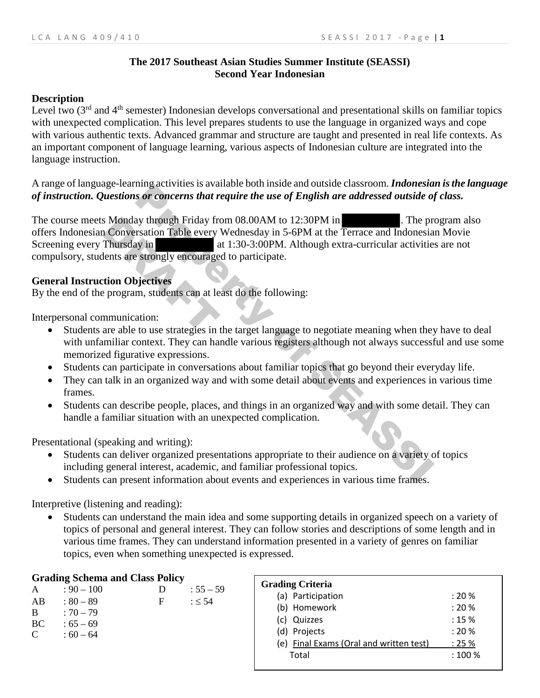### **The 2017 Southeast Asian Studies Summer Institute (SEASSI) Second Year Indonesian**

### **Description**

Level two  $3<sup>rd</sup>$  and  $4<sup>th</sup>$  semester) Indonesian develops conversational and presentational skills on familiar topics with unexpected complication. This level prepares students to use the language in organized ways and cope with various authentic texts. Advanced grammar and structure are taught and presented in real life contexts. As an important component of language learning, various aspects of Indonesian culture are integrated into the language instruction.

A range of language-learning activities is available both inside and outside classroom. *Indonesian is the language of instruction. Questions or concerns that require the use of English are addressed outside of class.* 

The course meets Monday through Friday from 08.00AM to 12:30PM in . The program also offers Indonesian Conversation Table every Wednesday in 5-6PM at the Terrace and Indonesian Movie<br>Screening every Thursday in at 1:30-3:00PM. Although extra-curricular activities are not at 1:30-3:00PM. Although extra-curricular activities are not compulsory, students are strongly encouraged to participate. may activutes is avaiable bout inside and usuate coustine. The property of *s* or concerns that require the use of English are addressed outside of ay through Friday from 08.00AM to 12:30PM in The property Wednesday in 5-6 S Monday through Friday from<br>
1 Conversation Table every<br>
Thursday in<br>
lents are strongly encourage<br>
tion Objectives<br>
2 program, students can at len<br>
1 mmunication:<br>
are able to use strategies in

### **General Instruction Objectives**

By the end of the program, students can at least do the following:

Interpersonal communication:

- Students are able to use strategies in the target language to negotiate meaning when they have to deal with unfamiliar context. They can handle various registers although not always successful and use some memorized figurative expressions.
- Students can participate in conversations about familiar topics that go beyond their everyday life.
- They can talk in an organized way and with some detail about events and experiences in various time frames.
- Students can describe people, places, and things in an organized way and with some detail. They can handle a familiar situation with an unexpected complication.

Presentational (speaking and writing):

- Students can deliver organized presentations appropriate to their audience on a variety of topics including general interest, academic, and familiar professional topics.
- Students can present information about events and experiences in various time frames.

Interpretive (listening and reading):

• Students can understand the main idea and some supporting details in organized speech on a variety of topics of personal and general interest. They can follow stories and descriptions of some length and in various time frames. They can understand information presented in a variety of genres on familiar topics, even when something unexpected is expressed.

### **Grading Schema and Class Policy**

| A  | $: 90 - 100$ | Ð | $: 55 - 59$ |
|----|--------------|---|-------------|
| AB | $: 80 - 89$  | F | $: \leq 54$ |
| B  | $: 70 - 79$  |   |             |
| BC | $:65-69$     |   |             |
| C  | $:60-64$     |   |             |
|    |              |   |             |

| <b>Grading Criteria</b>                 |        |
|-----------------------------------------|--------|
| (a) Participation                       | : 20%  |
| (b) Homework                            | : 20%  |
| (c) Quizzes                             | : 15%  |
| (d) Projects                            | : 20%  |
| (e) Final Exams (Oral and written test) | : 25%  |
| Total                                   | : 100% |
|                                         |        |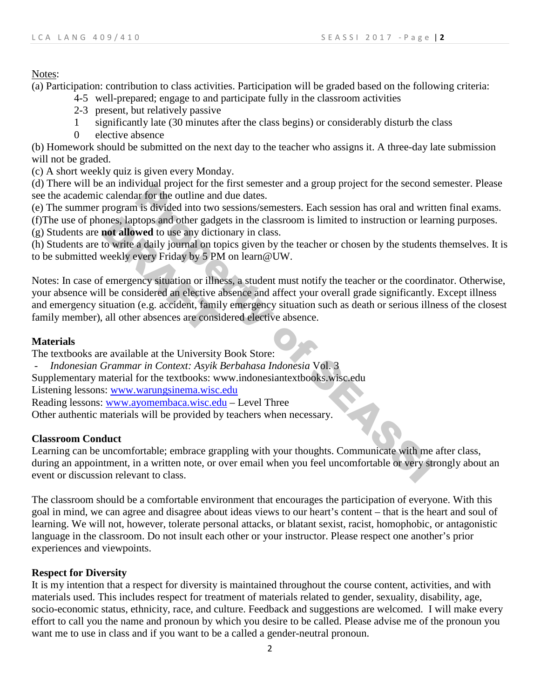Notes:

(a) Participation: contribution to class activities. Participation will be graded based on the following criteria:

- 4-5 well-prepared; engage to and participate fully in the classroom activities
- 2-3 present, but relatively passive
- 1 significantly late (30 minutes after the class begins) or considerably disturb the class
- 0 elective absence

(b) Homework should be submitted on the next day to the teacher who assigns it. A three-day late submission will not be graded.

(c) A short weekly quiz is given every Monday.

(d) There will be an individual project for the first semester and a group project for the second semester. Please see the academic calendar for the outline and due dates.

(e) The summer program is divided into two sessions/semesters. Each session has oral and written final exams.

(f)The use of phones, laptops and other gadgets in the classroom is limited to instruction or learning purposes. (g) Students are **not allowed** to use any dictionary in class.

(h) Students are to write a daily journal on topics given by the teacher or chosen by the students themselves. It is to be submitted weekly every Friday by 5 PM on learn@UW.

Notes: In case of emergency situation or illness, a student must notify the teacher or the coordinator. Otherwise, your absence will be considered an elective absence and affect your overall grade significantly. Except illness and emergency situation (e.g. accident, family emergency situation such as death or serious illness of the closest family member), all other absences are considered elective absence. What project on the instressment and a group project for the seconds<br>ar for the outline and due dates.<br>In is divided into two sessions/semesters. Each session has oral and writ<br>or ar for the outline and due dates.<br>We can b Some Suppose and other gadgent allowed to use any dictive of the write a daily journal on to weekly every Friday by 5 PN considered an elective a ituation (e.g. accident, family all other absences are considered an electiv

## **Materials**

The textbooks are available at the University Book Store:

- *Indonesian Grammar in Context: Asyik Berbahasa Indonesia* Vol. 3

Supplementary material for the textbooks: www.indonesiantextbooks.wisc.edu

Listening lessons: [www.warungsinema.wisc.edu](http://www.warungsinema.wisc.edu/)

Reading lessons: [www.ayomembaca.wisc.edu](http://www.ayomembaca.wisc.edu/) – Level Three

Other authentic materials will be provided by teachers when necessary.

## **Classroom Conduct**

Learning can be uncomfortable; embrace grappling with your thoughts. Communicate with me after class, during an appointment, in a written note, or over email when you feel uncomfortable or very strongly about an event or discussion relevant to class.

The classroom should be a comfortable environment that encourages the participation of everyone. With this goal in mind, we can agree and disagree about ideas views to our heart's content – that is the heart and soul of learning. We will not, however, tolerate personal attacks, or blatant sexist, racist, homophobic, or antagonistic language in the classroom. Do not insult each other or your instructor. Please respect one another's prior experiences and viewpoints.

## **Respect for Diversity**

It is my intention that a respect for diversity is maintained throughout the course content, activities, and with materials used. This includes respect for treatment of materials related to gender, sexuality, disability, age, socio-economic status, ethnicity, race, and culture. Feedback and suggestions are welcomed. I will make every effort to call you the name and pronoun by which you desire to be called. Please advise me of the pronoun you want me to use in class and if you want to be a called a gender-neutral pronoun.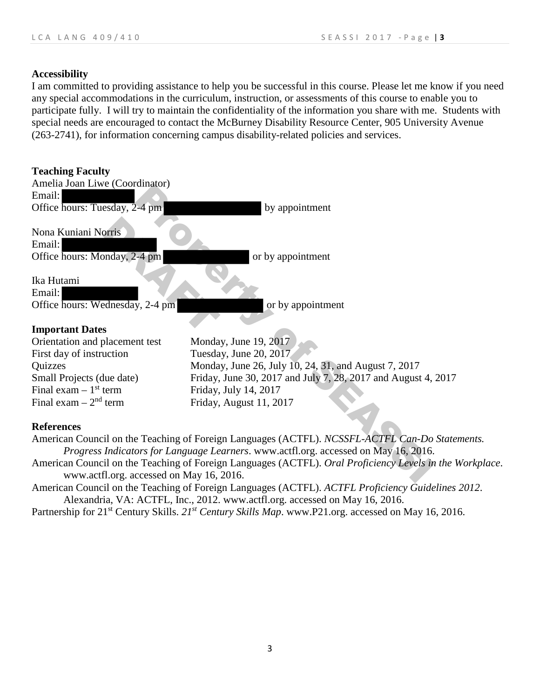### **Accessibility**

I am committed to providing assistance to help you be successful in this course. Please let me know if you need any special accommodations in the curriculum, instruction, or assessments of this course to enable you to participate fully. I will try to maintain the confidentiality of the information you share with me. Students with special needs are encouraged to contact the McBurney Disability Resource Center, 905 University Avenue (263-2741), for information concerning campus disability-related policies and services.

| <b>Teaching Faculty</b><br>Amelia Joan Liwe (Coordinator)     |                                                                                                      |
|---------------------------------------------------------------|------------------------------------------------------------------------------------------------------|
| Email:<br>Office hours: Tuesday, 2-4 pm                       | by appointment                                                                                       |
| Nona Kuniani Norris<br>Email:<br>Office hours: Monday, 2-4 pm | or by appointment                                                                                    |
| Ika Hutami<br>Email:<br>Office hours: Wednesday, 2-4 pm       | or by appointment                                                                                    |
| <b>Important Dates</b>                                        |                                                                                                      |
| Orientation and placement test                                | Monday, June 19, 2017                                                                                |
| First day of instruction                                      | Tuesday, June 20, 2017                                                                               |
| Quizzes                                                       | Monday, June 26, July 10, 24, 31, and August 7, 2017                                                 |
| Small Projects (due date)                                     | Friday, June 30, 2017 and July 7, 28, 2017 and August 4, 2017                                        |
| Final exam $-1$ <sup>st</sup> term                            | Friday, July 14, 2017                                                                                |
| Final exam $-2nd$ term                                        | Friday, August 11, 2017                                                                              |
|                                                               |                                                                                                      |
| <b>References</b>                                             | American Council on the Teaching of Foreign Languages (ACTFL). NCSSFL-ACTFL Can-Do Statements.       |
|                                                               | Progress Indicators for Language Learners. www.actfl.org. accessed on May 16, 2016.                  |
|                                                               | American Council on the Teaching of Foreign Languages (ACTFL). Oral Proficiency Levels in the Workpl |
| www.actfl.org. accessed on May 16, 2016.                      |                                                                                                      |
|                                                               | American Council on the Teaching of Foreign Languages (ACTFL). ACTFL Proficiency Guidelines 2012.    |

- American Council on the Teaching of Foreign Languages (ACTFL). *Oral Proficiency Levels in the Workplace*. www.actfl.org. accessed on May 16, 2016.
- American Council on the Teaching of Foreign Languages (ACTFL). *ACTFL Proficiency Guidelines 2012*. Alexandria, VA: ACTFL, Inc., 2012. www.actfl.org. accessed on May 16, 2016.
- Partnership for 21<sup>st</sup> Century Skills. 21<sup>st</sup> Century Skills Map. www.P21.org. accessed on May 16, 2016.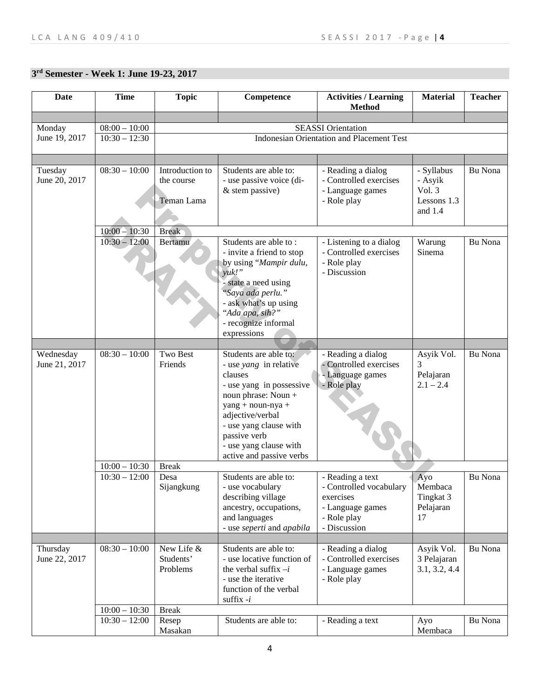## **3rd Semester - Week 1: June 19-23, 2017**

| <b>Date</b>                | <b>Time</b>     | <b>Topic</b>                                | Competence                                                                                                                                                                                                                                                    | <b>Activities / Learning</b><br><b>Method</b>                                                               | <b>Material</b>                                               | <b>Teacher</b> |
|----------------------------|-----------------|---------------------------------------------|---------------------------------------------------------------------------------------------------------------------------------------------------------------------------------------------------------------------------------------------------------------|-------------------------------------------------------------------------------------------------------------|---------------------------------------------------------------|----------------|
|                            |                 |                                             |                                                                                                                                                                                                                                                               |                                                                                                             |                                                               |                |
| Monday                     | $08:00 - 10:00$ |                                             |                                                                                                                                                                                                                                                               | <b>SEASSI</b> Orientation                                                                                   |                                                               |                |
| June 19, 2017              | $10:30 - 12:30$ |                                             |                                                                                                                                                                                                                                                               | <b>Indonesian Orientation and Placement Test</b>                                                            |                                                               |                |
|                            |                 |                                             |                                                                                                                                                                                                                                                               |                                                                                                             |                                                               |                |
| Tuesday<br>June 20, 2017   | $08:30 - 10:00$ | Introduction to<br>the course<br>Teman Lama | Students are able to:<br>- use passive voice (di-<br>& stem passive)                                                                                                                                                                                          | - Reading a dialog<br>- Controlled exercises<br>- Language games<br>- Role play                             | - Syllabus<br>- Asyik<br>Vol. $3$<br>Lessons 1.3<br>and $1.4$ | Bu Nona        |
|                            | $10:00 - 10:30$ | <b>Break</b>                                |                                                                                                                                                                                                                                                               |                                                                                                             |                                                               |                |
|                            | $10:30 - 12:00$ | Bertamu                                     | Students are able to:<br>- invite a friend to stop<br>by using "Mampir dulu,<br>$yuk!$ "<br>state a need using<br>"Saya ada perlu."<br>- ask what's up using<br>"Ada apa, sih?"<br>- recognize informal<br>expressions                                        | - Listening to a dialog<br>- Controlled exercises<br>- Role play<br>- Discussion                            | Warung<br>Sinema                                              | Bu Nona        |
|                            |                 |                                             |                                                                                                                                                                                                                                                               |                                                                                                             |                                                               |                |
| Wednesday<br>June 21, 2017 | $08:30 - 10:00$ | Two Best<br>Friends                         | Students are able to:<br>- use <i>yang</i> in relative<br>clauses<br>- use yang in possessive<br>noun phrase: Noun +<br>yang + noun-nya +<br>adjective/verbal<br>- use yang clause with<br>passive verb<br>- use yang clause with<br>active and passive verbs | - Reading a dialog<br>- Controlled exercises<br>- Language games<br>- Role play                             | Asyik Vol.<br>3<br>Pelajaran<br>$2.1 - 2.4$                   | Bu Nona        |
|                            | $10:00 - 10:30$ | <b>Break</b>                                |                                                                                                                                                                                                                                                               |                                                                                                             |                                                               |                |
|                            | $10:30 - 12:00$ | Desa<br>Sijangkung                          | Students are able to:<br>- use vocabulary<br>describing village<br>ancestry, occupations,<br>and languages<br>- use seperti and apabila                                                                                                                       | - Reading a text<br>- Controlled vocabulary<br>exercises<br>- Language games<br>- Role play<br>- Discussion | Ayo<br>Membaca<br>Tingkat 3<br>Pelajaran<br>17                | Bu Nona        |
|                            |                 |                                             |                                                                                                                                                                                                                                                               |                                                                                                             |                                                               |                |
| Thursday<br>June 22, 2017  | $08:30 - 10:00$ | New Life &<br>Students'<br>Problems         | Students are able to:<br>- use locative function of<br>the verbal suffix $-i$<br>- use the iterative<br>function of the verbal<br>suffix $-i$                                                                                                                 | - Reading a dialog<br>- Controlled exercises<br>- Language games<br>- Role play                             | Asyik Vol.<br>3 Pelajaran<br>3.1, 3.2, 4.4                    | Bu Nona        |
|                            | $10:00 - 10:30$ | <b>Break</b>                                |                                                                                                                                                                                                                                                               |                                                                                                             |                                                               |                |
|                            | $10:30 - 12:00$ | Resep<br>Masakan                            | Students are able to:                                                                                                                                                                                                                                         | - Reading a text                                                                                            | Ayo<br>Membaca                                                | Bu Nona        |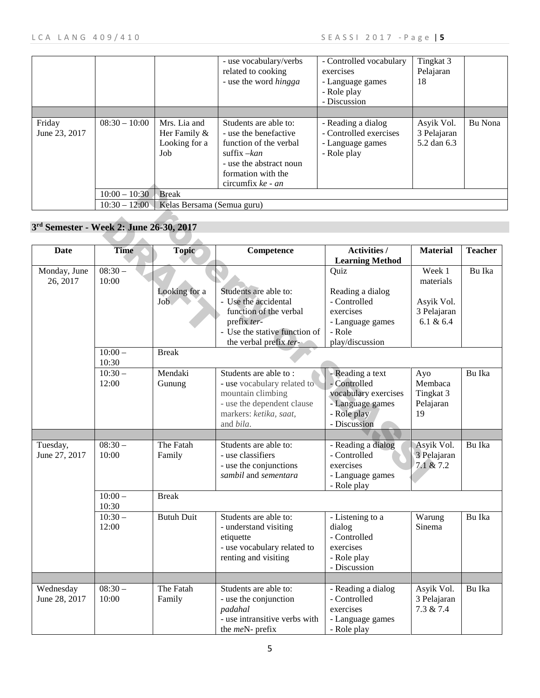|                         |                 |                                                         | - use vocabulary/verbs<br>related to cooking<br>- use the word <i>hingga</i>                                                                                      | - Controlled vocabulary<br>exercises<br>- Language games<br>- Role play<br>- Discussion | Tingkat 3<br>Pelajaran<br>18             |         |
|-------------------------|-----------------|---------------------------------------------------------|-------------------------------------------------------------------------------------------------------------------------------------------------------------------|-----------------------------------------------------------------------------------------|------------------------------------------|---------|
|                         |                 |                                                         |                                                                                                                                                                   |                                                                                         |                                          |         |
| Friday<br>June 23, 2017 | $08:30 - 10:00$ | Mrs. Lia and<br>Her Family $\&$<br>Looking for a<br>Job | Students are able to:<br>- use the benefactive<br>function of the verbal<br>suffix $-kan$<br>- use the abstract noun<br>formation with the<br>circumfix $ke - an$ | - Reading a dialog<br>- Controlled exercises<br>- Language games<br>- Role play         | Asyik Vol.<br>3 Pelajaran<br>5.2 dan 6.3 | Bu Nona |
|                         | $10:00 - 10:30$ | <b>Break</b>                                            |                                                                                                                                                                   |                                                                                         |                                          |         |
|                         | $10:30 - 12:00$ | Kelas Bersama (Semua guru)                              |                                                                                                                                                                   |                                                                                         |                                          |         |

|               |                                         |                            | CIICUIIIIIA RE - <i>un</i>    |                        |                 |                |
|---------------|-----------------------------------------|----------------------------|-------------------------------|------------------------|-----------------|----------------|
|               | $10:00 - 10:30$                         | <b>Break</b>               |                               |                        |                 |                |
|               | $10:30 - 12:00$                         | Kelas Bersama (Semua guru) |                               |                        |                 |                |
|               |                                         |                            |                               |                        |                 |                |
|               | 3rd Semester - Week 2: June 26-30, 2017 |                            |                               |                        |                 |                |
|               |                                         |                            |                               |                        |                 |                |
| <b>Date</b>   | <b>Time</b>                             | Topic                      | Competence                    | <b>Activities /</b>    | <b>Material</b> | <b>Teacher</b> |
|               |                                         |                            |                               | <b>Learning Method</b> |                 |                |
| Monday, June  | $08:30-$                                |                            |                               | Quiz                   | Week 1          | Bu Ika         |
| 26, 2017      | 10:00                                   |                            |                               |                        | materials       |                |
|               |                                         | Looking for a              | Students are able to:         | Reading a dialog       |                 |                |
|               |                                         | Job.                       | - Use the accidental          | - Controlled           | Asyik Vol.      |                |
|               |                                         |                            | function of the verbal        | exercises              | 3 Pelajaran     |                |
|               |                                         |                            | prefix ter-                   | - Language games       | 6.1 & 6.4       |                |
|               |                                         |                            | - Use the stative function of | - Role                 |                 |                |
|               |                                         |                            | the verbal prefix ter-        | play/discussion        |                 |                |
|               | $10:00 -$                               | <b>Break</b>               |                               |                        |                 |                |
|               | 10:30                                   |                            |                               |                        |                 |                |
|               | $10:30 -$                               | Mendaki                    | Students are able to:         | - Reading a text       | Ayo             | Bu Ika         |
|               | 12:00                                   | Gunung                     | - use vocabulary related to   | - Controlled           | Membaca         |                |
|               |                                         |                            | mountain climbing             | vocabulary exercises   | Tingkat 3       |                |
|               |                                         |                            | - use the dependent clause    | - Language games       | Pelajaran       |                |
|               |                                         |                            | markers: ketika, saat,        | - Role play            | 19              |                |
|               |                                         |                            | and bila.                     | - Discussion           |                 |                |
|               |                                         |                            |                               |                        |                 |                |
| Tuesday,      | $08:30-$                                | The Fatah                  | Students are able to:         | - Reading a dialog     | Asyik Vol.      | Bu Ika         |
| June 27, 2017 | 10:00                                   | Family                     | - use classifiers             | - Controlled           | 3 Pelajaran     |                |
|               |                                         |                            | - use the conjunctions        | exercises              | 7.1 & 7.2       |                |
|               |                                         |                            | sambil and sementara          | - Language games       |                 |                |
|               |                                         |                            |                               | - Role play            |                 |                |
|               | $10:00 -$                               | <b>Break</b>               |                               |                        |                 |                |
|               | 10:30                                   |                            |                               |                        |                 |                |
|               | $10:30 -$                               | <b>Butuh Duit</b>          | Students are able to:         | - Listening to a       | Warung          | Bu Ika         |
|               | 12:00                                   |                            | - understand visiting         | dialog                 | Sinema          |                |
|               |                                         |                            | etiquette                     | - Controlled           |                 |                |
|               |                                         |                            | - use vocabulary related to   | exercises              |                 |                |
|               |                                         |                            | renting and visiting          | - Role play            |                 |                |
|               |                                         |                            |                               | - Discussion           |                 |                |
|               |                                         |                            |                               |                        |                 |                |
| Wednesday     | $08:30-$                                | The Fatah                  | Students are able to:         | - Reading a dialog     | Asyik Vol.      | Bu Ika         |
| June 28, 2017 | 10:00                                   | Family                     | - use the conjunction         | - Controlled           | 3 Pelajaran     |                |
|               |                                         |                            | padahal                       | exercises              | 7.3 & 7.4       |                |
|               |                                         |                            | - use intransitive verbs with | - Language games       |                 |                |
|               |                                         |                            | the <i>meN</i> - prefix       | - Role play            |                 |                |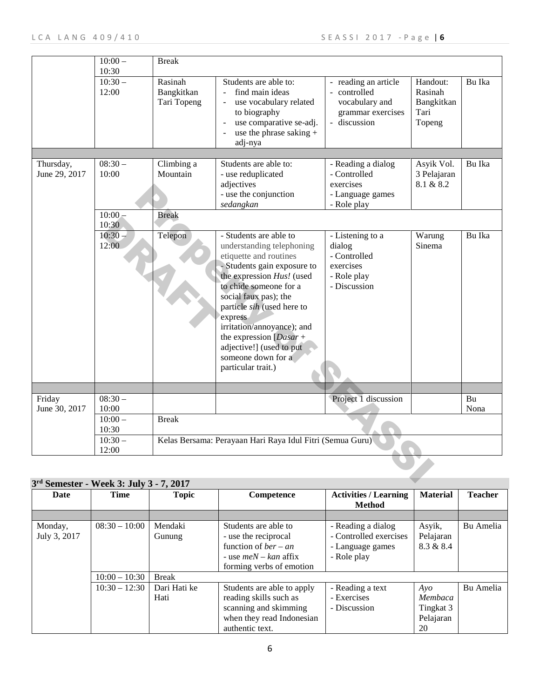|                                                     | $10:00 -$                   | <b>Break</b>                         |                                                                                                                                                                                                                                                                                                                                                                          |                                                                                                                                    |                                                     |        |
|-----------------------------------------------------|-----------------------------|--------------------------------------|--------------------------------------------------------------------------------------------------------------------------------------------------------------------------------------------------------------------------------------------------------------------------------------------------------------------------------------------------------------------------|------------------------------------------------------------------------------------------------------------------------------------|-----------------------------------------------------|--------|
|                                                     | 10:30<br>$10:30-$<br>12:00  | Rasinah<br>Bangkitkan<br>Tari Topeng | Students are able to:<br>find main ideas<br>use vocabulary related<br>to biography<br>use comparative se-adj.<br>use the phrase saking $+$<br>adj-nya                                                                                                                                                                                                                    | reading an article<br>controlled<br>$\overline{\phantom{a}}$<br>vocabulary and<br>grammar exercises<br>discussion<br>$\frac{1}{2}$ | Handout:<br>Rasinah<br>Bangkitkan<br>Tari<br>Topeng | Bu Ika |
|                                                     |                             |                                      |                                                                                                                                                                                                                                                                                                                                                                          |                                                                                                                                    |                                                     |        |
| Thursday,<br>June 29, 2017                          | $08:30-$<br>10:00           | Climbing a<br>Mountain               | Students are able to:<br>- use reduplicated<br>adjectives<br>- use the conjunction<br>sedangkan                                                                                                                                                                                                                                                                          | - Reading a dialog<br>- Controlled<br>exercises<br>- Language games<br>- Role play                                                 | Asyik Vol.<br>3 Pelajaran<br>8.1 & 8.2              | Bu Ika |
|                                                     | $10:00 -$<br>10:30          | <b>Break</b>                         |                                                                                                                                                                                                                                                                                                                                                                          |                                                                                                                                    |                                                     |        |
|                                                     | $10:30 -$<br>12:00          | Telepon                              | - Students are able to<br>understanding telephoning<br>etiquette and routines<br>- Students gain exposure to<br>the expression Hus! (used<br>to chide someone for a<br>social faux pas); the<br>particle sih (used here to<br>express<br>irritation/annoyance); and<br>the expression $[Dasar +$<br>adjective!] (used to put<br>someone down for a<br>particular trait.) | - Listening to a<br>dialog<br>- Controlled<br>exercises<br>- Role play<br>- Discussion                                             | Warung<br>Sinema                                    | Bu Ika |
|                                                     |                             |                                      |                                                                                                                                                                                                                                                                                                                                                                          |                                                                                                                                    |                                                     |        |
| Friday                                              | $08:30-$                    |                                      |                                                                                                                                                                                                                                                                                                                                                                          | Project 1 discussion                                                                                                               |                                                     | Bu     |
| June 30, 2017                                       | 10:00<br>$10:00 -$<br>10:30 | <b>Break</b>                         |                                                                                                                                                                                                                                                                                                                                                                          |                                                                                                                                    |                                                     | Nona   |
|                                                     | $10:30-$<br>12:00           |                                      | Kelas Bersama: Perayaan Hari Raya Idul Fitri (Semua Guru)                                                                                                                                                                                                                                                                                                                |                                                                                                                                    |                                                     |        |
| 3 <sup>rd</sup> Semester - Week 3: July 3 - 7, 2017 |                             |                                      |                                                                                                                                                                                                                                                                                                                                                                          |                                                                                                                                    |                                                     |        |
| $\mathbf{D} \cdot \mathbf{A}$                       |                             |                                      |                                                                                                                                                                                                                                                                                                                                                                          |                                                                                                                                    |                                                     |        |

| Date                    | Time            | <b>Topic</b>         | Competence                                                                                                                                | <b>Activities / Learning</b>                                                    | <b>Material</b>                                   | <b>Teacher</b> |
|-------------------------|-----------------|----------------------|-------------------------------------------------------------------------------------------------------------------------------------------|---------------------------------------------------------------------------------|---------------------------------------------------|----------------|
|                         |                 |                      |                                                                                                                                           | <b>Method</b>                                                                   |                                                   |                |
|                         |                 |                      |                                                                                                                                           |                                                                                 |                                                   |                |
| Monday,<br>July 3, 2017 | $08:30 - 10:00$ | Mendaki<br>Gunung    | Students are able to<br>- use the reciprocal<br>function of <i>ber</i> – <i>an</i><br>- use $meN - kan$ affix<br>forming verbs of emotion | - Reading a dialog<br>- Controlled exercises<br>- Language games<br>- Role play | Asyik,<br>Pelajaran<br>8.3 & 8.4                  | Bu Amelia      |
|                         | $10:00 - 10:30$ | <b>Break</b>         |                                                                                                                                           |                                                                                 |                                                   |                |
|                         | $10:30 - 12:30$ | Dari Hati ke<br>Hati | Students are able to apply<br>reading skills such as<br>scanning and skimming<br>when they read Indonesian<br>authentic text.             | - Reading a text<br>- Exercises<br>- Discussion                                 | $A$ yo<br>Membaca<br>Tingkat 3<br>Pelajaran<br>20 | Bu Amelia      |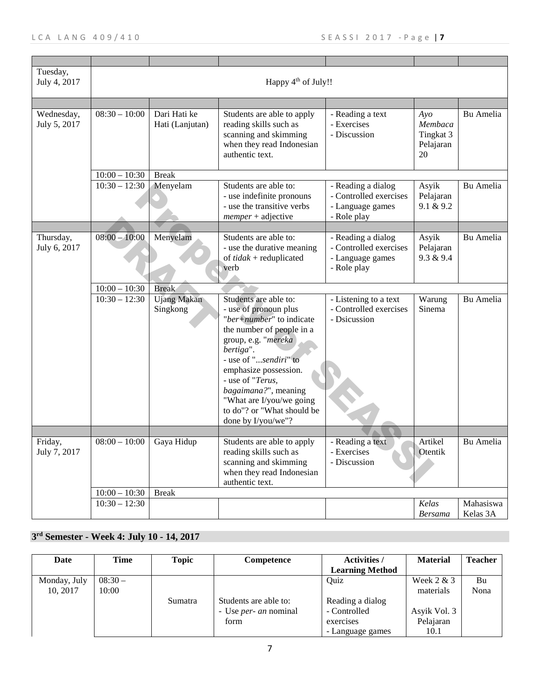| Tuesday,<br>July 4, 2017   | Happy $4th$ of July!!      |                                 |                                                                                                                                                                                                                                                                                                                           |                                                                                 |                                                   |                       |  |
|----------------------------|----------------------------|---------------------------------|---------------------------------------------------------------------------------------------------------------------------------------------------------------------------------------------------------------------------------------------------------------------------------------------------------------------------|---------------------------------------------------------------------------------|---------------------------------------------------|-----------------------|--|
|                            |                            |                                 |                                                                                                                                                                                                                                                                                                                           |                                                                                 |                                                   |                       |  |
| Wednesday,<br>July 5, 2017 | $08:30 - 10:00$            | Dari Hati ke<br>Hati (Lanjutan) | Students are able to apply<br>reading skills such as<br>scanning and skimming<br>when they read Indonesian<br>authentic text.                                                                                                                                                                                             | - Reading a text<br>- Exercises<br>- Discussion                                 | $A$ yo<br>Membaca<br>Tingkat 3<br>Pelajaran<br>20 | Bu Amelia             |  |
|                            | $10:00 - 10:30$            | <b>Break</b>                    |                                                                                                                                                                                                                                                                                                                           |                                                                                 |                                                   |                       |  |
|                            | $\overline{10:}30 - 12:30$ | Menyelam                        | Students are able to:<br>- use indefinite pronouns<br>- use the transitive verbs<br>$memper + \text{adjective}$                                                                                                                                                                                                           | - Reading a dialog<br>- Controlled exercises<br>- Language games<br>- Role play | Asyik<br>Pelajaran<br>9.1 & 9.2                   | Bu Amelia             |  |
|                            |                            |                                 |                                                                                                                                                                                                                                                                                                                           |                                                                                 |                                                   |                       |  |
| Thursday,<br>July 6, 2017  | $08:00 - 10:00$            | Menyelam                        | Students are able to:<br>- use the durative meaning<br>of $tidak$ + reduplicated<br>verb                                                                                                                                                                                                                                  | - Reading a dialog<br>- Controlled exercises<br>- Language games<br>- Role play | Asyik<br>Pelajaran<br>9.3 & 9.4                   | Bu Amelia             |  |
|                            | $10:00 - 10:30$            | <b>Break</b>                    |                                                                                                                                                                                                                                                                                                                           |                                                                                 |                                                   |                       |  |
|                            | $10:30 - 12:30$            | <b>Ujang Makan</b><br>Singkong  | Students are able to:<br>- use of pronoun plus<br>"ber+number" to indicate<br>the number of people in a<br>group, e.g. "mereka<br>bertiga".<br>- use of "sendiri" to<br>emphasize possession.<br>- use of "Terus,<br>bagaimana?", meaning<br>"What are I/you/we going<br>to do"? or "What should be<br>done by I/you/we"? | - Listening to a text<br>- Controlled exercises<br>- Dsicussion                 | Warung<br>Sinema                                  | Bu Amelia             |  |
| Friday,<br>July 7, 2017    | $08:00 - 10:00$            | Gaya Hidup                      | Students are able to apply<br>reading skills such as                                                                                                                                                                                                                                                                      | - Reading a text<br>- Exercises                                                 | Artikel<br>Otentik                                | Bu Amelia             |  |
|                            |                            |                                 | scanning and skimming<br>when they read Indonesian<br>authentic text.                                                                                                                                                                                                                                                     | - Discussion                                                                    |                                                   |                       |  |
|                            | $10:00 - 10:30$            | <b>Break</b>                    |                                                                                                                                                                                                                                                                                                                           |                                                                                 |                                                   |                       |  |
|                            | $10:30 - 12:30$            |                                 |                                                                                                                                                                                                                                                                                                                           |                                                                                 | Kelas<br><b>Bersama</b>                           | Mahasiswa<br>Kelas 3A |  |

# **3rd Semester - Week 4: July 10 - 14, 2017**

| Date         | Time     | Topic   | Competence                   | <b>Activities</b> /    | <b>Material</b> | <b>Teacher</b> |
|--------------|----------|---------|------------------------------|------------------------|-----------------|----------------|
|              |          |         |                              | <b>Learning Method</b> |                 |                |
| Monday, July | $08:30-$ |         |                              | Ouiz                   | Week $2 & 3$    | Bu             |
| 10.2017      | 10:00    |         |                              |                        | materials       | Nona           |
|              |          | Sumatra | Students are able to:        | Reading a dialog       |                 |                |
|              |          |         | - Use <i>per- an</i> nominal | - Controlled           | Asyik Vol. 3    |                |
|              |          |         | form                         | exercises              | Pelajaran       |                |
|              |          |         |                              | - Language games       | 10.1            |                |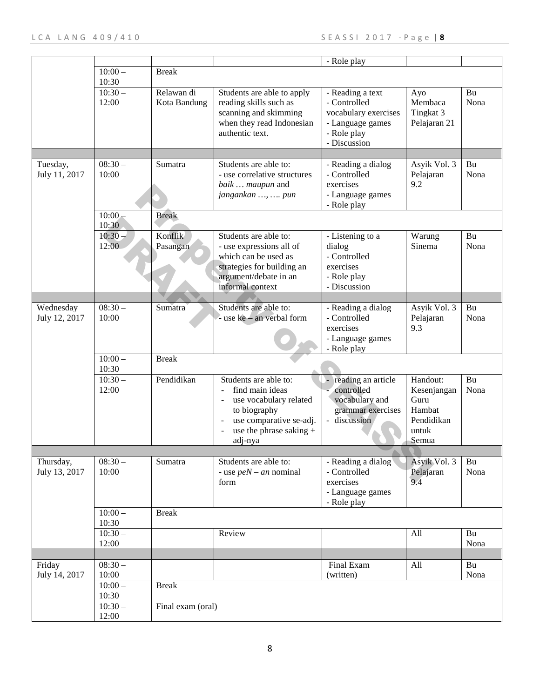|                            |                                |                                   |                                                                                                                                                       | - Role play                                                                                                 |                                                                           |            |
|----------------------------|--------------------------------|-----------------------------------|-------------------------------------------------------------------------------------------------------------------------------------------------------|-------------------------------------------------------------------------------------------------------------|---------------------------------------------------------------------------|------------|
|                            | $10:00 -$                      | <b>Break</b>                      |                                                                                                                                                       |                                                                                                             |                                                                           |            |
|                            | 10:30                          |                                   |                                                                                                                                                       |                                                                                                             |                                                                           |            |
|                            | $10:30-$<br>12:00              | Relawan di<br>Kota Bandung        | Students are able to apply<br>reading skills such as<br>scanning and skimming<br>when they read Indonesian<br>authentic text.                         | - Reading a text<br>- Controlled<br>vocabulary exercises<br>- Language games<br>- Role play<br>- Discussion | Ayo<br>Membaca<br>Tingkat 3<br>Pelajaran 21                               | Bu<br>Nona |
|                            |                                |                                   |                                                                                                                                                       |                                                                                                             |                                                                           |            |
| Tuesday,<br>July 11, 2017  | $08:30-$<br>10:00              | Sumatra                           | Students are able to:<br>- use correlative structures<br>baik  maupun and<br>jangankan ,  pun                                                         | - Reading a dialog<br>- Controlled<br>exercises<br>- Language games<br>- Role play                          | Asyik Vol. 3<br>Pelajaran<br>9.2                                          | Bu<br>Nona |
|                            | $10:00 -$<br>10:30             | <b>Break</b>                      |                                                                                                                                                       |                                                                                                             |                                                                           |            |
|                            | $10:30 -$<br>12:00             | Konflik<br>Pasangan               | Students are able to:<br>- use expressions all of<br>which can be used as<br>strategies for building an<br>argument/debate in an<br>informal context  | - Listening to a<br>dialog<br>- Controlled<br>exercises<br>- Role play<br>- Discussion                      | Warung<br>Sinema                                                          | Bu<br>Nona |
|                            |                                |                                   |                                                                                                                                                       |                                                                                                             |                                                                           |            |
| Wednesday<br>July 12, 2017 | $08:30-$<br>10:00              | Sumatra                           | Students are able to:<br>- use ke - an verbal form                                                                                                    | - Reading a dialog<br>- Controlled<br>exercises<br>- Language games<br>- Role play                          | Asyik Vol. 3<br>Pelajaran<br>9.3                                          | Bu<br>Nona |
|                            | $10:00 -$<br>10:30             | <b>Break</b>                      |                                                                                                                                                       |                                                                                                             |                                                                           |            |
|                            | $10:30-$<br>12:00              | Pendidikan                        | Students are able to:<br>find main ideas<br>use vocabulary related<br>to biography<br>use comparative se-adj.<br>use the phrase saking $+$<br>adj-nya | reading an article<br>controlled<br>vocabulary and<br>grammar exercises<br>- discussion                     | Handout:<br>Kesenjangan<br>Guru<br>Hambat<br>Pendidikan<br>untuk<br>Semua | Bu<br>Nona |
|                            |                                |                                   |                                                                                                                                                       | ◠                                                                                                           |                                                                           |            |
| Thursday,<br>July 13, 2017 | $\overline{08:}30-$<br>10:00   | Sumatra                           | Students are able to:<br>- use $peN - an$ nominal<br>form                                                                                             | - Reading a dialog<br>- Controlled<br>exercises<br>- Language games<br>- Role play                          | Asyik Vol. 3<br>Pelajaran<br>9.4                                          | Bu<br>Nona |
|                            | $10:00 -$<br>10:30             | <b>Break</b>                      |                                                                                                                                                       |                                                                                                             |                                                                           |            |
|                            | $10:30-$<br>12:00              |                                   | Review                                                                                                                                                |                                                                                                             | All                                                                       | Bu<br>Nona |
|                            |                                |                                   |                                                                                                                                                       |                                                                                                             |                                                                           |            |
| Friday<br>July 14, 2017    | $08:30-$<br>10:00              |                                   |                                                                                                                                                       | Final Exam<br>(written)                                                                                     | All                                                                       | Bu<br>Nona |
|                            | $10:00 -$<br>10:30<br>$10:30-$ | <b>Break</b><br>Final exam (oral) |                                                                                                                                                       |                                                                                                             |                                                                           |            |
|                            | 12:00                          |                                   |                                                                                                                                                       |                                                                                                             |                                                                           |            |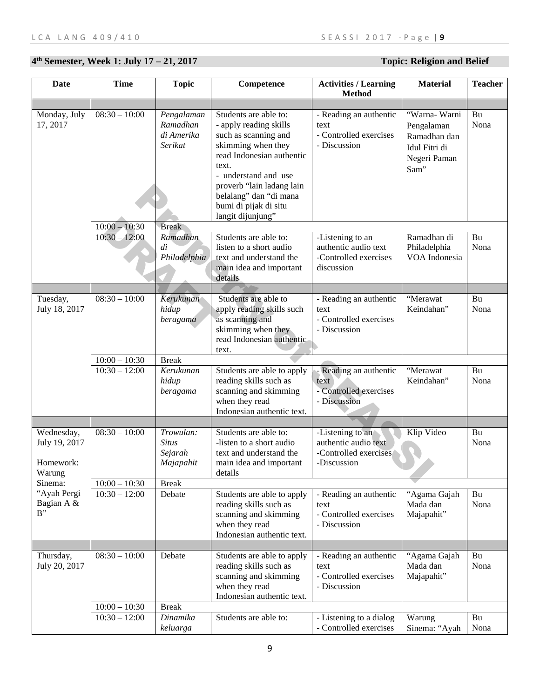# **4th Semester, Week 1: July 17 – 21, 2017 Topic: Religion and Belief**

| <b>Date</b>                                        | <b>Time</b>                | <b>Topic</b>                                      | Competence                                                                                                                                                                                                                                                       | <b>Activities / Learning</b><br><b>Method</b>                                    | <b>Material</b>                                                                      | <b>Teacher</b> |
|----------------------------------------------------|----------------------------|---------------------------------------------------|------------------------------------------------------------------------------------------------------------------------------------------------------------------------------------------------------------------------------------------------------------------|----------------------------------------------------------------------------------|--------------------------------------------------------------------------------------|----------------|
|                                                    |                            |                                                   |                                                                                                                                                                                                                                                                  |                                                                                  |                                                                                      |                |
| Monday, July<br>17, 2017                           | $08:30 - 10:00$            | Pengalaman<br>Ramadhan<br>di Amerika<br>Serikat   | Students are able to:<br>- apply reading skills<br>such as scanning and<br>skimming when they<br>read Indonesian authentic<br>text.<br>- understand and use<br>proverb "lain ladang lain<br>belalang" dan "di mana<br>bumi di pijak di situ<br>langit dijunjung" | - Reading an authentic<br>text<br>- Controlled exercises<br>- Discussion         | "Warna- Warni<br>Pengalaman<br>Ramadhan dan<br>Idul Fitri di<br>Negeri Paman<br>Sam" | Bu<br>Nona     |
|                                                    | $10:00 - 10:30$            | <b>Break</b>                                      |                                                                                                                                                                                                                                                                  |                                                                                  |                                                                                      |                |
|                                                    | $10:30 - 12:00$            | Ramadhan<br>di<br>Philadelphia                    | Students are able to:<br>listen to a short audio<br>text and understand the<br>main idea and important<br>details                                                                                                                                                | -Listening to an<br>authentic audio text<br>-Controlled exercises<br>discussion  | Ramadhan di<br>Philadelphia<br>VOA Indonesia                                         | Bu<br>Nona     |
|                                                    | $08:30 - 10:00$            |                                                   |                                                                                                                                                                                                                                                                  |                                                                                  |                                                                                      |                |
| Tuesday,<br>July 18, 2017                          |                            | Kerukunan<br>hidup<br>beragama                    | Students are able to<br>apply reading skills such<br>as scanning and<br>skimming when they<br>read Indonesian authentic-<br>text.                                                                                                                                | - Reading an authentic<br>text<br>- Controlled exercises<br>- Discussion         | "Merawat<br>Keindahan"                                                               | Bu<br>Nona     |
|                                                    | $10:00 - 10:30$            | <b>Break</b>                                      |                                                                                                                                                                                                                                                                  |                                                                                  |                                                                                      |                |
|                                                    | $10:30 - 12:00$            | Kerukunan<br>hidup<br>beragama                    | Students are able to apply<br>reading skills such as<br>scanning and skimming<br>when they read<br>Indonesian authentic text.                                                                                                                                    | - Reading an authentic<br>text<br>- Controlled exercises<br>- Discussion         | "Merawat<br>Keindahan"                                                               | Bu<br>Nona     |
|                                                    |                            |                                                   |                                                                                                                                                                                                                                                                  |                                                                                  |                                                                                      |                |
| Wednesday,<br>July 19, 2017<br>Homework:<br>Warung | $\overline{08:30-10:00}$   | Trowulan:<br><b>Situs</b><br>Sejarah<br>Majapahit | Students are able to:<br>-listen to a short audio<br>text and understand the<br>main idea and important<br>details                                                                                                                                               | -Listening to an<br>authentic audio text<br>-Controlled exercises<br>-Discussion | Klip Video                                                                           | Bu<br>Nona     |
| Sinema:<br>"Ayah Pergi                             | $10:00 - 10:30$            | <b>Break</b>                                      |                                                                                                                                                                                                                                                                  |                                                                                  |                                                                                      |                |
| Bagian A &<br>$B$ "                                | $10:30 - 12:00$            | Debate                                            | Students are able to apply<br>reading skills such as<br>scanning and skimming<br>when they read<br>Indonesian authentic text.                                                                                                                                    | - Reading an authentic<br>text<br>- Controlled exercises<br>- Discussion         | "Agama Gajah<br>Mada dan<br>Majapahit"                                               | Bu<br>Nona     |
|                                                    |                            |                                                   |                                                                                                                                                                                                                                                                  |                                                                                  |                                                                                      |                |
| Thursday,<br>July 20, 2017                         | $08:30 - 10:00$            | Debate                                            | Students are able to apply<br>reading skills such as<br>scanning and skimming<br>when they read<br>Indonesian authentic text.                                                                                                                                    | - Reading an authentic<br>text<br>- Controlled exercises<br>- Discussion         | "Agama Gajah<br>Mada dan<br>Majapahit"                                               | Bu<br>Nona     |
|                                                    | $10:00 - 10:30$            | <b>Break</b>                                      |                                                                                                                                                                                                                                                                  |                                                                                  |                                                                                      |                |
|                                                    | $\overline{10:}30 - 12:00$ | Dinamika<br>keluarga                              | Students are able to:                                                                                                                                                                                                                                            | - Listening to a dialog<br>- Controlled exercises                                | Warung<br>Sinema: "Ayah                                                              | Bu<br>Nona     |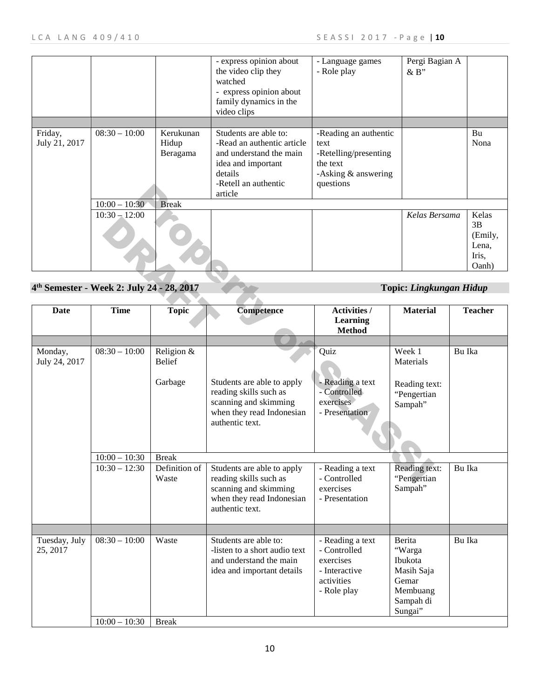|                          |                                                       |                                | - express opinion about<br>the video clip they<br>watched<br>- express opinion about<br>family dynamics in the<br>video clips                      | - Language games<br>- Role play                                                                          | Pergi Bagian A<br>&B"          |                                                   |
|--------------------------|-------------------------------------------------------|--------------------------------|----------------------------------------------------------------------------------------------------------------------------------------------------|----------------------------------------------------------------------------------------------------------|--------------------------------|---------------------------------------------------|
|                          |                                                       |                                |                                                                                                                                                    |                                                                                                          |                                |                                                   |
| Friday,<br>July 21, 2017 | $08:30 - 10:00$                                       | Kerukunan<br>Hidup<br>Beragama | Students are able to:<br>-Read an authentic article<br>and understand the main<br>idea and important<br>details<br>-Retell an authentic<br>article | -Reading an authentic<br>text<br>-Retelling/presenting<br>the text<br>-Asking $&$ answering<br>questions |                                | Bu<br>Nona                                        |
|                          | $10:00 - 10:30$                                       | <b>Break</b>                   |                                                                                                                                                    |                                                                                                          |                                |                                                   |
|                          | $10:30 - 12:00$                                       |                                |                                                                                                                                                    |                                                                                                          | Kelas Bersama                  | Kelas<br>3B<br>(Emily,<br>Lena,<br>Iris,<br>Oanh) |
|                          |                                                       |                                |                                                                                                                                                    |                                                                                                          |                                |                                                   |
|                          | 4 <sup>th</sup> Semester - Week 2: July 24 - 28, 2017 |                                |                                                                                                                                                    |                                                                                                          | <b>Topic: Lingkungan Hidup</b> |                                                   |
|                          |                                                       |                                |                                                                                                                                                    |                                                                                                          |                                |                                                   |
| Date                     | <b>Time</b>                                           | <b>Topic</b>                   | <b>Competence</b>                                                                                                                                  | <b>Activities /</b><br><b>Learning</b><br><b>Method</b>                                                  | <b>Material</b>                | <b>Teacher</b>                                    |

### **4th Semester - Week 2: July 24 - 28, 2017 Topic:** *Lingkungan Hidup*

|                           |                                                       |                                           | -inclui ali authentic<br>article                                                                                              | questions                                                                                   |                                                                                        |                                          |
|---------------------------|-------------------------------------------------------|-------------------------------------------|-------------------------------------------------------------------------------------------------------------------------------|---------------------------------------------------------------------------------------------|----------------------------------------------------------------------------------------|------------------------------------------|
|                           | $10:00 - 10:30$                                       | <b>Break</b>                              |                                                                                                                               |                                                                                             |                                                                                        |                                          |
|                           | $10:30 - 12:00$                                       |                                           |                                                                                                                               |                                                                                             | Kelas Bersama                                                                          | Kelas                                    |
|                           |                                                       |                                           |                                                                                                                               |                                                                                             |                                                                                        | 3B<br>(Emily,<br>Lena,<br>Iris,<br>Oanh) |
|                           |                                                       |                                           |                                                                                                                               |                                                                                             |                                                                                        |                                          |
|                           | 4 <sup>th</sup> Semester - Week 2: July 24 - 28, 2017 |                                           |                                                                                                                               |                                                                                             | <b>Topic: Lingkungan Hidup</b>                                                         |                                          |
|                           |                                                       |                                           |                                                                                                                               |                                                                                             |                                                                                        |                                          |
| <b>Date</b>               | <b>Time</b>                                           | <b>Topic</b>                              | <b>Competence</b>                                                                                                             | <b>Activities /</b><br><b>Learning</b><br><b>Method</b>                                     | <b>Material</b>                                                                        | <b>Teacher</b>                           |
|                           |                                                       |                                           |                                                                                                                               |                                                                                             |                                                                                        |                                          |
| Monday,<br>July 24, 2017  | $08:30 - 10:00$                                       | Religion $\overline{\&}$<br><b>Belief</b> |                                                                                                                               | Quiz                                                                                        | Week 1<br>Materials                                                                    | Bu Ika                                   |
|                           |                                                       | Garbage                                   | Students are able to apply<br>reading skills such as<br>scanning and skimming<br>when they read Indonesian<br>authentic text. | - Reading a text<br>- Controlled<br>exercises<br>- Presentation                             | Reading text:<br>"Pengertian<br>Sampah"                                                |                                          |
|                           | $10:00 - 10:30$                                       | <b>Break</b>                              |                                                                                                                               |                                                                                             |                                                                                        |                                          |
|                           | $10:30 - 12:30$                                       | Definition of<br>Waste                    | Students are able to apply<br>reading skills such as<br>scanning and skimming<br>when they read Indonesian<br>authentic text. | - Reading a text<br>- Controlled<br>exercises<br>- Presentation                             | Reading text:<br>"Pengertian<br>Sampah"                                                | Bu Ika                                   |
|                           |                                                       |                                           |                                                                                                                               |                                                                                             |                                                                                        |                                          |
| Tuesday, July<br>25, 2017 | $\overline{08:}30 - 10:00$                            | Waste                                     | Students are able to:<br>-listen to a short audio text<br>and understand the main<br>idea and important details               | - Reading a text<br>- Controlled<br>exercises<br>- Interactive<br>activities<br>- Role play | Berita<br>"Warga<br>Ibukota<br>Masih Saja<br>Gemar<br>Membuang<br>Sampah di<br>Sungai" | Bu Ika                                   |
|                           | $10:00 - 10:30$                                       | <b>Break</b>                              |                                                                                                                               |                                                                                             |                                                                                        |                                          |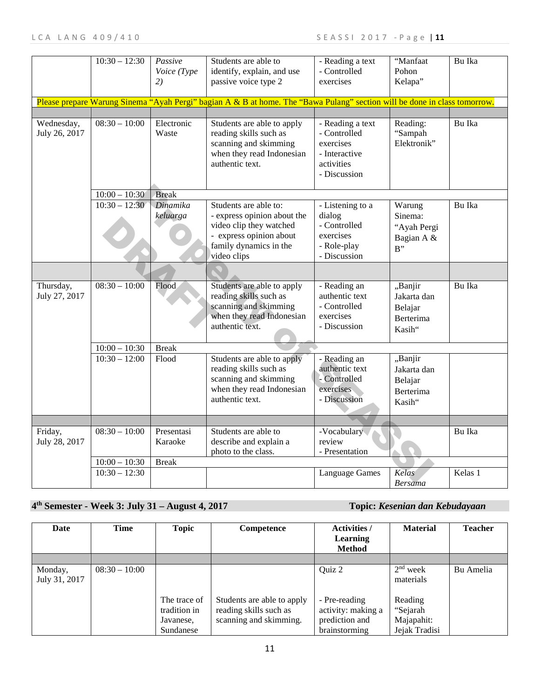|                             | $10:30 - 12:30$ | Passive<br>Voice (Type<br>2) | Students are able to<br>identify, explain, and use<br>passive voice type 2                                                                          | - Reading a text<br>- Controlled<br>exercises                                                | "Manfaat<br>Pohon<br>Kelapa"                                    | Bu Ika  |
|-----------------------------|-----------------|------------------------------|-----------------------------------------------------------------------------------------------------------------------------------------------------|----------------------------------------------------------------------------------------------|-----------------------------------------------------------------|---------|
|                             |                 |                              | Please prepare Warung Sinema "Ayah Pergi" bagian A & B at home. The "Bawa Pulang" section will be done in class tomorrow.                           |                                                                                              |                                                                 |         |
|                             |                 |                              |                                                                                                                                                     |                                                                                              |                                                                 |         |
| Wednesday,<br>July 26, 2017 | $08:30 - 10:00$ | Electronic<br>Waste          | Students are able to apply<br>reading skills such as<br>scanning and skimming<br>when they read Indonesian<br>authentic text.                       | - Reading a text<br>- Controlled<br>exercises<br>- Interactive<br>activities<br>- Discussion | Reading:<br>"Sampah<br>Elektronik"                              | Bu Ika  |
|                             | $10:00 - 10:30$ | <b>Break</b>                 |                                                                                                                                                     |                                                                                              |                                                                 |         |
|                             | $10:30 - 12:30$ | Dinamika<br>keluarga         | Students are able to:<br>- express opinion about the<br>video clip they watched<br>- express opinion about<br>family dynamics in the<br>video clips | - Listening to a<br>dialog<br>- Controlled<br>exercises<br>- Role-play<br>- Discussion       | Warung<br>Sinema:<br>"Ayah Pergi<br>Bagian A &<br>$B$ "         | Bu Ika  |
|                             |                 |                              |                                                                                                                                                     |                                                                                              |                                                                 |         |
| Thursday,<br>July 27, 2017  | $08:30 - 10:00$ | Flood                        | Students are able to apply<br>reading skills such as<br>scanning and skimming<br>when they read Indonesian<br>authentic text.                       | - Reading an<br>authentic text<br>- Controlled<br>exercises<br>- Discussion                  | "Banjir<br>Jakarta dan<br>Belajar<br><b>Berterima</b><br>Kasih" | Bu Ika  |
|                             | $10:00 - 10:30$ | <b>Break</b>                 |                                                                                                                                                     |                                                                                              |                                                                 |         |
|                             | $10:30 - 12:00$ | Flood                        | Students are able to apply<br>reading skills such as<br>scanning and skimming<br>when they read Indonesian<br>authentic text.                       | - Reading an<br>authentic text<br>- Controlled<br>exercises<br>- Discussion                  | "Banjir<br>Jakarta dan<br>Belajar<br><b>Berterima</b><br>Kasih" |         |
|                             |                 |                              |                                                                                                                                                     |                                                                                              |                                                                 |         |
| Friday,<br>July 28, 2017    | $08:30 - 10:00$ | Presentasi<br>Karaoke        | Students are able to<br>describe and explain a<br>photo to the class.                                                                               | -Vocabulary<br>review<br>- Presentation                                                      |                                                                 | Bu Ika  |
|                             | $10:00 - 10:30$ | <b>Break</b>                 |                                                                                                                                                     |                                                                                              |                                                                 |         |
|                             | $10:30 - 12:30$ |                              |                                                                                                                                                     | Language Games                                                                               | Kelas<br>Bersama                                                | Kelas 1 |

## **4th Semester - Week 3: July 31 – August 4, 2017 Topic:** *Kesenian dan Kebudayaan*

| Date                     | Time            | <b>Topic</b>                                           | Competence                                                                     | <b>Activities</b> /<br><b>Learning</b><br><b>Method</b>                | <b>Material</b>                                    | <b>Teacher</b> |
|--------------------------|-----------------|--------------------------------------------------------|--------------------------------------------------------------------------------|------------------------------------------------------------------------|----------------------------------------------------|----------------|
|                          |                 |                                                        |                                                                                |                                                                        |                                                    |                |
| Monday,<br>July 31, 2017 | $08:30 - 10:00$ |                                                        |                                                                                | Quiz 2                                                                 | $2nd$ week<br>materials                            | Bu Amelia      |
|                          |                 | The trace of<br>tradition in<br>Javanese,<br>Sundanese | Students are able to apply<br>reading skills such as<br>scanning and skimming. | - Pre-reading<br>activity: making a<br>prediction and<br>brainstorming | Reading<br>"Sejarah<br>Majapahit:<br>Jejak Tradisi |                |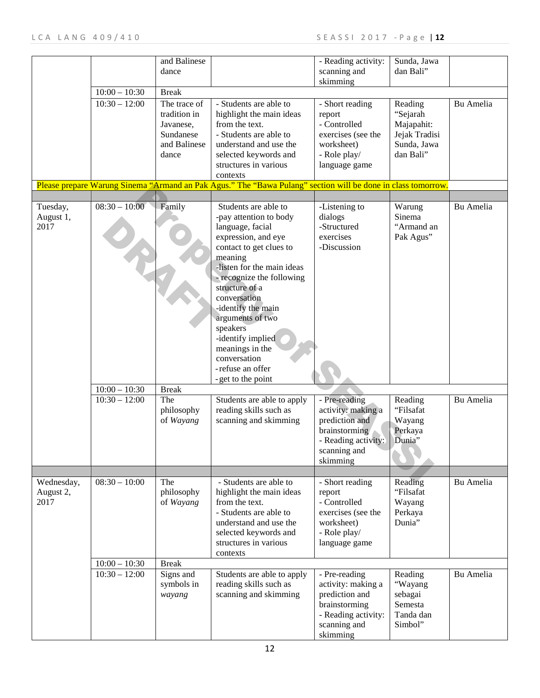|            |                 | and Balinese |                                                                                                              | - Reading activity: | Sunda, Jawa   |           |
|------------|-----------------|--------------|--------------------------------------------------------------------------------------------------------------|---------------------|---------------|-----------|
|            |                 | dance        |                                                                                                              | scanning and        | dan Bali"     |           |
|            |                 |              |                                                                                                              | skimming            |               |           |
|            | $10:00 - 10:30$ | <b>Break</b> |                                                                                                              |                     |               |           |
|            | $10:30 - 12:00$ | The trace of | - Students are able to                                                                                       | - Short reading     | Reading       | Bu Amelia |
|            |                 |              |                                                                                                              |                     |               |           |
|            |                 | tradition in | highlight the main ideas                                                                                     | report              | "Sejarah      |           |
|            |                 | Javanese,    | from the text.                                                                                               | - Controlled        | Majapahit:    |           |
|            |                 | Sundanese    | - Students are able to                                                                                       | exercises (see the  | Jejak Tradisi |           |
|            |                 | and Balinese | understand and use the                                                                                       | worksheet)          | Sunda, Jawa   |           |
|            |                 | dance        | selected keywords and                                                                                        | - Role play/        | dan Bali"     |           |
|            |                 |              | structures in various                                                                                        | language game       |               |           |
|            |                 |              | contexts                                                                                                     |                     |               |           |
|            |                 |              | Please prepare Warung Sinema "Armand an Pak Agus." The "Bawa Pulang" section will be done in class tomorrow. |                     |               |           |
|            |                 |              |                                                                                                              |                     |               |           |
| Tuesday,   | $08:30 - 10:00$ | Family       | Students are able to                                                                                         | -Listening to       | Warung        | Bu Amelia |
|            |                 |              | -pay attention to body                                                                                       | dialogs             | Sinema        |           |
| August 1,  |                 |              |                                                                                                              | -Structured         | "Armand an    |           |
| 2017       |                 |              | language, facial                                                                                             |                     |               |           |
|            |                 |              | expression, and eye                                                                                          | exercises           | Pak Agus"     |           |
|            |                 |              | contact to get clues to                                                                                      | -Discussion         |               |           |
|            |                 |              | meaning                                                                                                      |                     |               |           |
|            |                 |              | -listen for the main ideas                                                                                   |                     |               |           |
|            |                 |              | - recognize the following                                                                                    |                     |               |           |
|            |                 |              | structure of a                                                                                               |                     |               |           |
|            |                 |              | conversation                                                                                                 |                     |               |           |
|            |                 |              | -identify the main                                                                                           |                     |               |           |
|            |                 |              | arguments of two                                                                                             |                     |               |           |
|            |                 |              |                                                                                                              |                     |               |           |
|            |                 |              | speakers                                                                                                     |                     |               |           |
|            |                 |              | -identify implied                                                                                            |                     |               |           |
|            |                 |              | meanings in the                                                                                              |                     |               |           |
|            |                 |              | conversation                                                                                                 |                     |               |           |
|            |                 |              | -refuse an offer                                                                                             |                     |               |           |
|            |                 |              | - get to the point                                                                                           |                     |               |           |
|            | $10:00 - 10:30$ | <b>Break</b> |                                                                                                              |                     |               |           |
|            | $10:30 - 12:00$ | The          | Students are able to apply                                                                                   | - Pre-reading       | Reading       | Bu Amelia |
|            |                 | philosophy   | reading skills such as                                                                                       | activity: making a  | "Filsafat     |           |
|            |                 | of Wayang    | scanning and skimming                                                                                        | prediction and      | Wayang        |           |
|            |                 |              |                                                                                                              |                     |               |           |
|            |                 |              |                                                                                                              | brainstorming       | Perkaya       |           |
|            |                 |              |                                                                                                              | - Reading activity: | Dunia"        |           |
|            |                 |              |                                                                                                              | scanning and        |               |           |
|            |                 |              |                                                                                                              | skimming            |               |           |
|            |                 |              |                                                                                                              |                     |               |           |
| Wednesday, | $08:30 - 10:00$ | The          | - Students are able to                                                                                       | - Short reading     | Reading       | Bu Amelia |
| August 2,  |                 | philosophy   | highlight the main ideas                                                                                     | report              | "Filsafat     |           |
| 2017       |                 | of Wayang    | from the text.                                                                                               | - Controlled        | Wayang        |           |
|            |                 |              | - Students are able to                                                                                       | exercises (see the  | Perkaya       |           |
|            |                 |              | understand and use the                                                                                       | worksheet)          | Dunia"        |           |
|            |                 |              | selected keywords and                                                                                        | - Role play/        |               |           |
|            |                 |              | structures in various                                                                                        | language game       |               |           |
|            |                 |              |                                                                                                              |                     |               |           |
|            |                 |              | contexts                                                                                                     |                     |               |           |
|            | $10:00 - 10:30$ | <b>Break</b> |                                                                                                              |                     |               |           |
|            | $10:30 - 12:00$ | Signs and    | Students are able to apply                                                                                   | - Pre-reading       | Reading       | Bu Amelia |
|            |                 | symbols in   | reading skills such as                                                                                       | activity: making a  | "Wayang       |           |
|            |                 | wayang       | scanning and skimming                                                                                        | prediction and      | sebagai       |           |
|            |                 |              |                                                                                                              | brainstorming       | Semesta       |           |
|            |                 |              |                                                                                                              | - Reading activity: | Tanda dan     |           |
|            |                 |              |                                                                                                              | scanning and        | Simbol"       |           |
|            |                 |              |                                                                                                              | skimming            |               |           |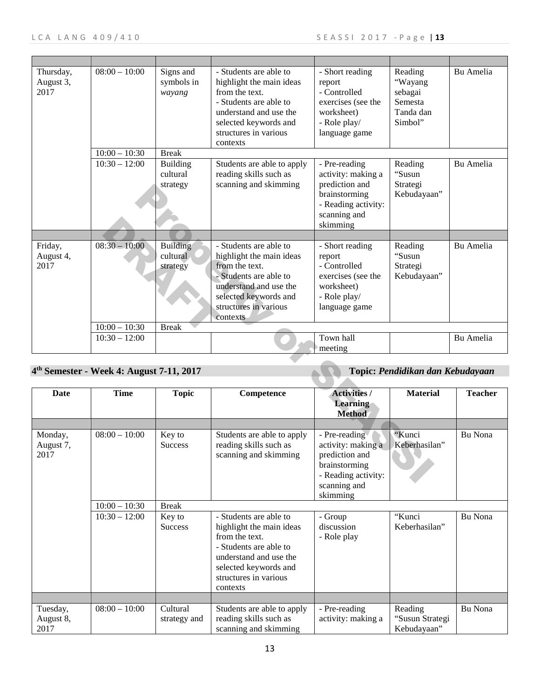| Thursday,<br>August 3,<br>2017 | $08:00 - 10:00$                                      | Signs and<br>symbols in<br>wayang       | - Students are able to<br>highlight the main ideas<br>from the text.<br>- Students are able to<br>understand and use the<br>selected keywords and<br>structures in various<br>contexts | - Short reading<br>report<br>- Controlled<br>exercises (see the<br>worksheet)<br>- Role play/<br>language game            | Reading<br>"Wayang<br>sebagai<br>Semesta<br>Tanda dan<br>Simbol" | Bu Amelia        |
|--------------------------------|------------------------------------------------------|-----------------------------------------|----------------------------------------------------------------------------------------------------------------------------------------------------------------------------------------|---------------------------------------------------------------------------------------------------------------------------|------------------------------------------------------------------|------------------|
|                                | $10:00 - 10:30$                                      | <b>Break</b>                            |                                                                                                                                                                                        |                                                                                                                           |                                                                  |                  |
|                                | $10:30 - 12:00$                                      | <b>Building</b><br>cultural<br>strategy | Students are able to apply<br>reading skills such as<br>scanning and skimming                                                                                                          | - Pre-reading<br>activity: making a<br>prediction and<br>brainstorming<br>- Reading activity:<br>scanning and<br>skimming | Reading<br>"Susun<br>Strategi<br>Kebudayaan"                     | <b>Bu Amelia</b> |
|                                |                                                      |                                         |                                                                                                                                                                                        |                                                                                                                           |                                                                  |                  |
| Friday,<br>August 4,<br>2017   | $08:30 - 10:00$                                      | <b>Building</b><br>cultural<br>strategy | - Students are able to<br>highlight the main ideas<br>from the text.<br>- Students are able to<br>understand and use the<br>selected keywords and<br>structures in various<br>contexts | - Short reading<br>report<br>- Controlled<br>exercises (see the<br>worksheet)<br>- Role play/<br>language game            | Reading<br>"Susun<br>Strategi<br>Kebudayaan"                     | Bu Amelia        |
|                                | $10:00 - 10:30$                                      | <b>Break</b>                            |                                                                                                                                                                                        |                                                                                                                           |                                                                  |                  |
|                                | $10:30 - 12:00$                                      |                                         |                                                                                                                                                                                        | Town hall<br>meeting                                                                                                      |                                                                  | Bu Amelia        |
|                                | 4 <sup>th</sup> Semester - Week 4: August 7-11, 2017 |                                         |                                                                                                                                                                                        |                                                                                                                           | Topic: Pendidikan dan Kebudayaan                                 |                  |
| <b>Date</b>                    | <b>Time</b>                                          | <b>Topic</b>                            | Competence                                                                                                                                                                             | <b>Activities /</b><br><b>Learning</b><br><b>Method</b>                                                                   | <b>Material</b>                                                  | <b>Teacher</b>   |
|                                |                                                      |                                         |                                                                                                                                                                                        |                                                                                                                           |                                                                  |                  |
| Monday,<br>August 7,<br>2017   | $08:00 - 10:00$                                      | Key to<br>Success                       | Students are able to apply<br>reading skills such as<br>scanning and skimming                                                                                                          | - Pre-reading<br>activity: making a<br>prediction and<br>brainstorming<br>- Reading activity:<br>scanning and             | "Kunci<br>Keberhasilan"                                          | Bu Nona          |

## **4th Semester - Week 4: August 7-11, 2017 Topic:** *Pendidikan dan Kebudayaan*

| Date                          | Time                                                  | <b>Topic</b>                                                         | Competence                                                                                                                                                                                                                                                              | <b>Activities /</b><br>Learning                                                                                                                                   | <b>Material</b>                                    | <b>Teacher</b>     |
|-------------------------------|-------------------------------------------------------|----------------------------------------------------------------------|-------------------------------------------------------------------------------------------------------------------------------------------------------------------------------------------------------------------------------------------------------------------------|-------------------------------------------------------------------------------------------------------------------------------------------------------------------|----------------------------------------------------|--------------------|
|                               |                                                       |                                                                      |                                                                                                                                                                                                                                                                         | <b>Method</b>                                                                                                                                                     |                                                    |                    |
| Monday,<br>August 7,<br>2017  | $08:00 - 10:00$<br>$10:00 - 10:30$<br>$10:30 - 12:00$ | Key to<br><b>Success</b><br><b>Break</b><br>Key to<br><b>Success</b> | Students are able to apply<br>reading skills such as<br>scanning and skimming<br>- Students are able to<br>highlight the main ideas<br>from the text.<br>- Students are able to<br>understand and use the<br>selected keywords and<br>structures in various<br>contexts | - Pre-reading<br>activity: making a<br>prediction and<br>brainstorming<br>- Reading activity:<br>scanning and<br>skimming<br>- Group<br>discussion<br>- Role play | "Kunci<br>Keberhasilan"<br>"Kunci<br>Keberhasilan" | Bu Nona<br>Bu Nona |
|                               |                                                       |                                                                      |                                                                                                                                                                                                                                                                         |                                                                                                                                                                   |                                                    |                    |
| Tuesday,<br>August 8,<br>2017 | $08:00 - 10:00$                                       | Cultural<br>strategy and                                             | Students are able to apply<br>reading skills such as<br>scanning and skimming                                                                                                                                                                                           | - Pre-reading<br>activity: making a                                                                                                                               | Reading<br>"Susun Strategi<br>Kebudayaan"          | Bu Nona            |